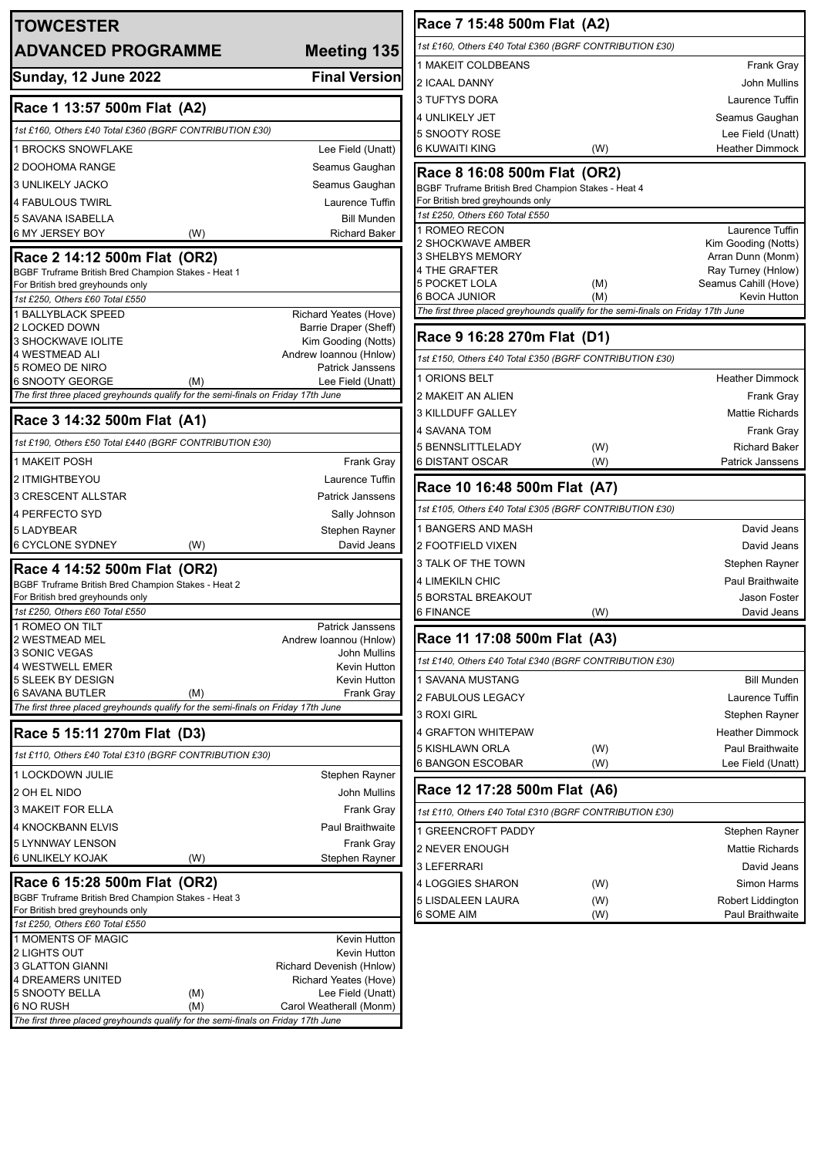| <b>TOWCESTER</b>                                                                                                                                                                                     |     |                                                |
|------------------------------------------------------------------------------------------------------------------------------------------------------------------------------------------------------|-----|------------------------------------------------|
| <b>ADVANCED PROGRAMME</b>                                                                                                                                                                            |     | <b>Meeting 135</b>                             |
| <b>Sunday, 12 June 2022</b>                                                                                                                                                                          |     | <b>Final Version</b>                           |
| Race 1 13:57 500m Flat (A2)                                                                                                                                                                          |     |                                                |
| 1st £160, Others £40 Total £360 (BGRF CONTRIBUTION £30)                                                                                                                                              |     |                                                |
| <b>1 BROCKS SNOWFLAKE</b>                                                                                                                                                                            |     | Lee Field (Unatt)                              |
| 2 DOOHOMA RANGE                                                                                                                                                                                      |     | Seamus Gaughan                                 |
| 3 UNLIKELY JACKO                                                                                                                                                                                     |     | Seamus Gaughan                                 |
| 4 FABULOUS TWIRL                                                                                                                                                                                     |     | Laurence Tuffin                                |
| 5 SAVANA ISABELLA                                                                                                                                                                                    |     | <b>Bill Munden</b>                             |
| 6 MY JERSEY BOY                                                                                                                                                                                      | (W) | <b>Richard Baker</b>                           |
| Race 2 14:12 500m Flat (OR2)                                                                                                                                                                         |     |                                                |
| BGBF Truframe British Bred Champion Stakes - Heat 1                                                                                                                                                  |     |                                                |
| For British bred greyhounds only                                                                                                                                                                     |     |                                                |
| 1st £250, Others £60 Total £550<br><b>1 BALLYBLACK SPEED</b>                                                                                                                                         |     |                                                |
| 2 LOCKED DOWN                                                                                                                                                                                        |     | Richard Yeates (Hove)<br>Barrie Draper (Sheff) |
| 3 SHOCKWAVE IOLITE                                                                                                                                                                                   |     | Kim Gooding (Notts)                            |
| 4 WESTMEAD ALI                                                                                                                                                                                       |     | Andrew Ioannou (Hnlow)                         |
| 5 ROMEO DE NIRO                                                                                                                                                                                      |     | <b>Patrick Janssens</b>                        |
| 6 SNOOTY GEORGE<br>The first three placed greyhounds qualify for the semi-finals on Friday 17th June                                                                                                 | (M) | Lee Field (Unatt)                              |
| Race 3 14:32 500m Flat (A1)                                                                                                                                                                          |     |                                                |
| 1st £190, Others £50 Total £440 (BGRF CONTRIBUTION £30)                                                                                                                                              |     |                                                |
|                                                                                                                                                                                                      |     |                                                |
| <b>1 MAKEIT POSH</b>                                                                                                                                                                                 |     | <b>Frank Gray</b>                              |
| 2 ITMIGHTBEYOU                                                                                                                                                                                       |     | Laurence Tuffin                                |
| 3 CRESCENT ALLSTAR                                                                                                                                                                                   |     | <b>Patrick Janssens</b>                        |
| <b>4 PERFECTO SYD</b>                                                                                                                                                                                |     | Sally Johnson                                  |
| <b>5 LADYBEAR</b>                                                                                                                                                                                    |     | Stephen Rayner                                 |
| 6 CYCLONE SYDNEY                                                                                                                                                                                     | (W) | David Jeans                                    |
| Race 4 14:52 500m Flat (OR2)                                                                                                                                                                         |     |                                                |
| BGBF Truframe British Bred Champion Stakes - Heat 2                                                                                                                                                  |     |                                                |
|                                                                                                                                                                                                      |     |                                                |
| For British bred greyhounds only                                                                                                                                                                     |     |                                                |
| 1st £250, Others £60 Total £550                                                                                                                                                                      |     | Patrick Janssens                               |
| 1 ROMEO ON TILT<br>2 WESTMEAD MEL                                                                                                                                                                    |     | Andrew Ioannou (Hnlow)                         |
| 3 SONIC VEGAS                                                                                                                                                                                        |     | <b>John Mullins</b>                            |
|                                                                                                                                                                                                      |     | Kevin Hutton                                   |
|                                                                                                                                                                                                      |     | Kevin Hutton                                   |
|                                                                                                                                                                                                      | (M) | Frank Gray                                     |
| 4 WESTWELL EMER<br>5 SLEEK BY DESIGN<br>The first three placed greyhounds qualify for the semi-finals on Friday 17th June                                                                            |     |                                                |
| 1st £110, Others £40 Total £310 (BGRF CONTRIBUTION £30)                                                                                                                                              |     |                                                |
| 1 LOCKDOWN JULIE                                                                                                                                                                                     |     | Stephen Rayner                                 |
|                                                                                                                                                                                                      |     | <b>John Mullins</b>                            |
|                                                                                                                                                                                                      |     | <b>Frank Gray</b>                              |
|                                                                                                                                                                                                      |     | <b>Paul Braithwaite</b>                        |
|                                                                                                                                                                                                      |     |                                                |
|                                                                                                                                                                                                      | (W) | <b>Frank Gray</b><br>Stephen Rayner            |
|                                                                                                                                                                                                      |     |                                                |
| 2 OH EL NIDO<br><b>3 MAKEIT FOR ELLA</b><br>4 KNOCKBANN ELVIS<br>5 LYNNWAY LENSON                                                                                                                    |     |                                                |
| 6 SAVANA BUTLER<br>Race 5 15:11 270m Flat (D3)<br><b>6 UNLIKELY KOJAK</b><br>Race 6 15:28 500m Flat (OR2)<br>BGBF Truframe British Bred Champion Stakes - Heat 3<br>For British bred greyhounds only |     |                                                |
| 1st £250, Others £60 Total £550                                                                                                                                                                      |     |                                                |
| 1 MOMENTS OF MAGIC                                                                                                                                                                                   |     | Kevin Hutton                                   |
| 2 LIGHTS OUT                                                                                                                                                                                         |     | Kevin Hutton                                   |
| 3 GLATTON GIANNI                                                                                                                                                                                     |     | Richard Devenish (Hnlow)                       |
| 4 DREAMERS UNITED<br>5 SNOOTY BELLA                                                                                                                                                                  | (M) | Richard Yeates (Hove)<br>Lee Field (Unatt)     |

| Race 7 15:48 500m Flat (A2)                                                             |            |                                         |  |
|-----------------------------------------------------------------------------------------|------------|-----------------------------------------|--|
| 1st £160, Others £40 Total £360 (BGRF CONTRIBUTION £30)                                 |            |                                         |  |
| 1 MAKEIT COLDBEANS                                                                      |            | Frank Gray                              |  |
| 2 ICAAL DANNY                                                                           |            | <b>John Mullins</b>                     |  |
| 3 TUFTYS DORA                                                                           |            | Laurence Tuffin                         |  |
| 4 UNLIKELY JET                                                                          |            | Seamus Gaughan                          |  |
| 5 SNOOTY ROSE                                                                           |            | Lee Field (Unatt)                       |  |
| 6 KUWAITI KING                                                                          | (W)        | <b>Heather Dimmock</b>                  |  |
| Race 8 16:08 500m Flat (OR2)                                                            |            |                                         |  |
| BGBF Truframe British Bred Champion Stakes - Heat 4<br>For British bred greyhounds only |            |                                         |  |
| 1st £250, Others £60 Total £550                                                         |            |                                         |  |
| 1 ROMEO RECON                                                                           |            | Laurence Tuffin                         |  |
| 2 SHOCKWAVE AMBER                                                                       |            | Kim Gooding (Notts)                     |  |
| 3 SHELBYS MEMORY<br>4 THE GRAFTER                                                       |            | Arran Dunn (Monm)<br>Ray Turney (Hnlow) |  |
| 5 POCKET LOLA                                                                           | (M)        | Seamus Cahill (Hove)                    |  |
| 6 BOCA JUNIOR                                                                           | (M)        | Kevin Hutton                            |  |
| The first three placed greyhounds qualify for the semi-finals on Friday 17th June       |            |                                         |  |
| Race 9 16:28 270m Flat (D1)                                                             |            |                                         |  |
| 1st £150, Others £40 Total £350 (BGRF CONTRIBUTION £30)                                 |            |                                         |  |
| 1 ORIONS BELT                                                                           |            | <b>Heather Dimmock</b>                  |  |
| 2 MAKEIT AN ALIEN                                                                       |            | Frank Gray                              |  |
| 3 KILLDUFF GALLEY                                                                       |            | <b>Mattie Richards</b>                  |  |
| 4 SAVANA TOM                                                                            |            | Frank Gray                              |  |
| 5 BENNSLITTLELADY                                                                       | (W)        | <b>Richard Baker</b>                    |  |
| 6 DISTANT OSCAR                                                                         | (W)        | <b>Patrick Janssens</b>                 |  |
|                                                                                         |            |                                         |  |
| Race 10 16:48 500m Flat (A7)                                                            |            |                                         |  |
| 1st £105, Others £40 Total £305 (BGRF CONTRIBUTION £30)                                 |            |                                         |  |
| 1 BANGERS AND MASH                                                                      |            | David Jeans                             |  |
| 2 FOOTFIELD VIXEN                                                                       |            | David Jeans                             |  |
| 3 TALK OF THE TOWN                                                                      |            | Stephen Rayner                          |  |
| 4 LIMEKILN CHIC                                                                         |            | <b>Paul Braithwaite</b>                 |  |
| 5 BORSTAL BREAKOUT                                                                      |            | Jason Foster                            |  |
| 6 FINANCE                                                                               | (W)        | David Jeans                             |  |
| Race 11 17:08 500m Flat (A3)                                                            |            |                                         |  |
| 1st £140, Others £40 Total £340 (BGRF CONTRIBUTION £30)                                 |            |                                         |  |
| 1 SAVANA MUSTANG                                                                        |            | <b>Bill Munden</b>                      |  |
| 2 FABULOUS LEGACY                                                                       |            | Laurence Tuffin                         |  |
| 3 ROXI GIRL                                                                             |            | Stephen Rayner                          |  |
| 4 GRAFTON WHITEPAW                                                                      |            | <b>Heather Dimmock</b>                  |  |
| 5 KISHLAWN ORLA                                                                         | (W)        | <b>Paul Braithwaite</b>                 |  |
| 6 BANGON ESCOBAR                                                                        | (W)        | Lee Field (Unatt)                       |  |
| Race 12 17:28 500m Flat (A6)                                                            |            |                                         |  |
| 1st £110, Others £40 Total £310 (BGRF CONTRIBUTION £30)                                 |            |                                         |  |
|                                                                                         |            | Stephen Rayner                          |  |
|                                                                                         |            | <b>Mattie Richards</b>                  |  |
|                                                                                         |            | David Jeans                             |  |
| 1 GREENCROFT PADDY<br>2 NEVER ENOUGH<br>3 LEFERRARI<br>4 LOGGIES SHARON                 | (W)        | Simon Harms                             |  |
| 5 LISDALEEN LAURA<br>6 SOME AIM                                                         | (W)<br>(W) | Robert Liddington<br>Paul Braithwaite   |  |